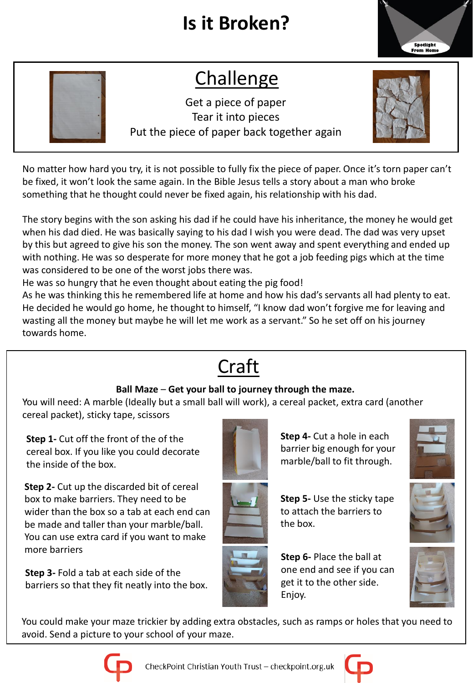## **Is it Broken?**



## Challenge

Get a piece of paper Tear it into pieces Put the piece of paper back together again



No matter how hard you try, it is not possible to fully fix the piece of paper. Once it's torn paper can't be fixed, it won't look the same again. In the Bible Jesus tells a story about a man who broke something that he thought could never be fixed again, his relationship with his dad.

The story begins with the son asking his dad if he could have his inheritance, the money he would get when his dad died. He was basically saying to his dad I wish you were dead. The dad was very upset by this but agreed to give his son the money. The son went away and spent everything and ended up with nothing. He was so desperate for more money that he got a job feeding pigs which at the time was considered to be one of the worst jobs there was.

He was so hungry that he even thought about eating the pig food!

As he was thinking this he remembered life at home and how his dad's servants all had plenty to eat. He decided he would go home, he thought to himself, "I know dad won't forgive me for leaving and wasting all the money but maybe he will let me work as a servant." So he set off on his journey towards home.

## Craft

## **Ball Maze** – **Get your ball to journey through the maze.**

. You will need: A marble (Ideally but a small ball will work), a cereal packet, extra card (another cereal packet), sticky tape, scissors

**Step 1-** Cut off the front of the of the cereal box. If you like you could decorate the inside of the box.

**Step 2-** Cut up the discarded bit of cereal box to make barriers. They need to be wider than the box so a tab at each end can be made and taller than your marble/ball. You can use extra card if you want to make more barriers

**Step 3-** Fold a tab at each side of the barriers so that they fit neatly into the box.



**Step 4-** Cut a hole in each barrier big enough for your marble/ball to fit through.



**Step 5-** Use the sticky tape to attach the barriers to

the box.

**Step 6-** Place the ball at one end and see if you can get it to the other side. Enjoy.







You could make your maze trickier by adding extra obstacles, such as ramps or holes that you need to avoid. Send a picture to your school of your maze.



CheckPoint Christian Youth Trust - checkpoint.org.uk